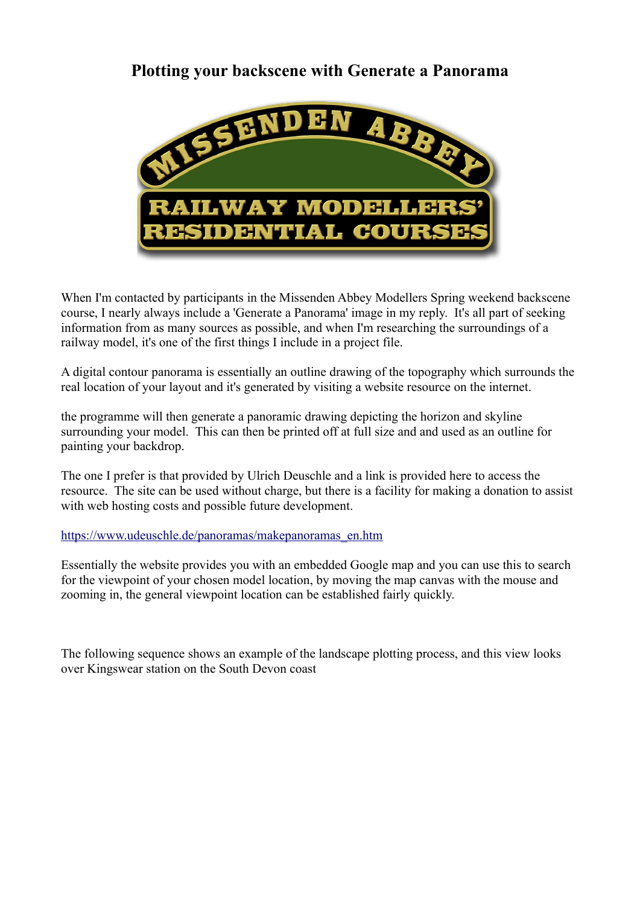## **Plotting your backscene with Generate a Panorama**



When I'm contacted by participants in the Missenden Abbey Modellers Spring weekend backscene course, I nearly always include a 'Generate a Panorama' image in my reply. It's all part of seeking information from as many sources as possible, and when I'm researching the surroundings of a railway model, it's one of the first things I include in a project file.

A digital contour panorama is essentially an outline drawing of the topography which surrounds the real location of your layout and it's generated by visiting a website resource on the internet.

the programme will then generate a panoramic drawing depicting the horizon and skyline surrounding your model. This can then be printed off at full size and and used as an outline for painting your backdrop.

The one I prefer is that provided by Ulrich Deuschle and a link is provided here to access the resource. The site can be used without charge, but there is a facility for making a donation to assist with web hosting costs and possible future development.

[https://www.udeuschle.de/panoramas/makepanoramas\\_en.htm](https://www.udeuschle.de/panoramas/makepanoramas_en.htm)

Essentially the website provides you with an embedded Google map and you can use this to search for the viewpoint of your chosen model location, by moving the map canvas with the mouse and zooming in, the general viewpoint location can be established fairly quickly.

The following sequence shows an example of the landscape plotting process, and this view looks over Kingswear station on the South Devon coast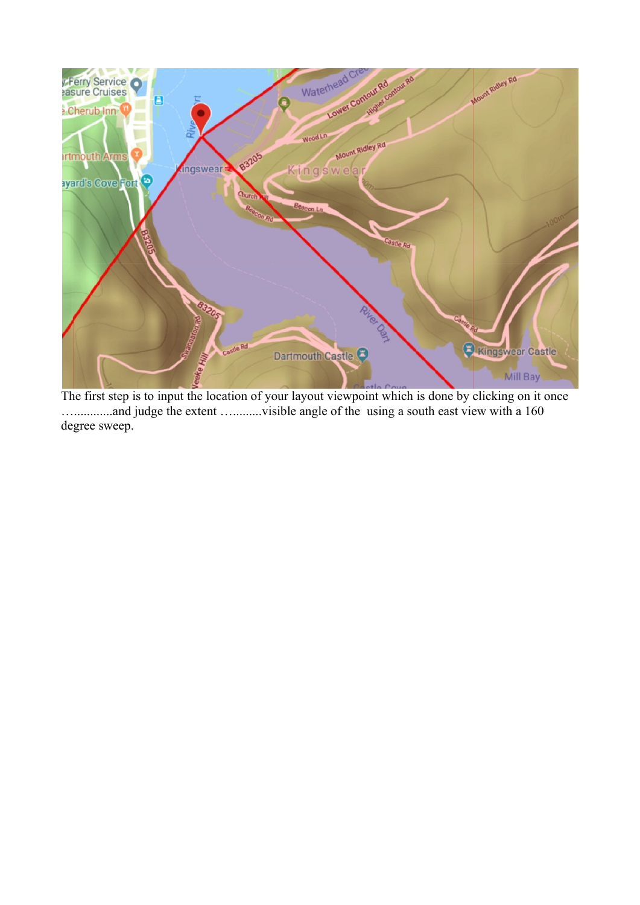

The first step is to input the location of your layout viewpoint which is done by clicking on it once …............and judge the extent ….........visible angle of the using a south east view with a 160 degree sweep.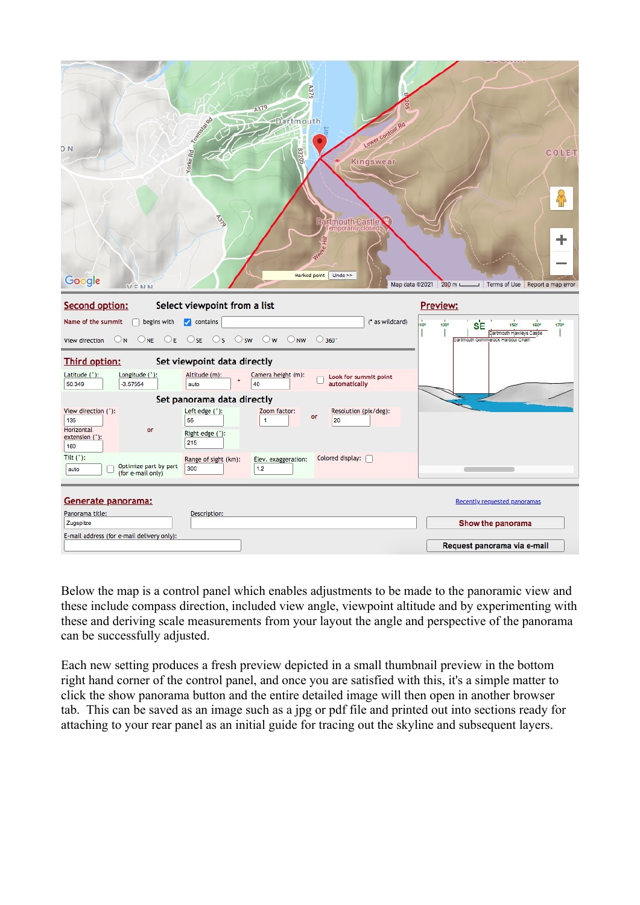| A379<br>A379<br>Yorke Rd Cassas<br>Dartmouth<br>Lower Contour Rd<br>D <sub>N</sub><br>G02SB<br>Kingswear<br><b>PULLED</b><br>Dartmouth Castle<br>Temporarily close<br>FH.<br>Marked point   Undo >><br>Google | COLET                                                                                                                    |
|---------------------------------------------------------------------------------------------------------------------------------------------------------------------------------------------------------------|--------------------------------------------------------------------------------------------------------------------------|
| <b>VENN</b>                                                                                                                                                                                                   | Map data @2021 200 m L<br>Terms of Use Report a map error                                                                |
| Select viewpoint from a list<br>Second option:                                                                                                                                                                | Preview:                                                                                                                 |
| (* as wildcard)<br>Name of the summit<br>$\Box$ begins with $\Box$ contains<br>ONE OE OSE OS OSW OW ONW O360°<br>O <sub>N</sub><br>View direction                                                             | 10°<br>120°<br>SE<br>170°<br>$150^\circ$<br><b>160°</b><br>Dartmouth Hawleys Castle<br>Dartmouth Gommerock Harbour Chain |
| Set viewpoint data directly<br><b>Third option:</b>                                                                                                                                                           |                                                                                                                          |
| Longitude (*):<br>Altitude (m):<br>Latitude ("):<br>Camera height (m):<br>Look for summit point                                                                                                               |                                                                                                                          |
| 50.349<br>$-3.57554$<br>auto<br>40<br>automatically                                                                                                                                                           |                                                                                                                          |
| Set panorama data directly                                                                                                                                                                                    |                                                                                                                          |
| Left edge (°):<br>View direction (°):<br>Zoom factor:<br>Resolution (pix/deg):<br>or<br>135<br>55<br>20<br>1                                                                                                  |                                                                                                                          |
| Horizontal<br>or<br>Right edge (°):<br>extension (°):                                                                                                                                                         |                                                                                                                          |
| 215<br>160                                                                                                                                                                                                    |                                                                                                                          |
| Tilt $('):$<br>Colored display:<br>Range of sight (km):<br>Elev. exaggeration:<br>Optimize part by part                                                                                                       |                                                                                                                          |
| 300<br>1.2<br>auto<br>(for e-mail only)                                                                                                                                                                       |                                                                                                                          |
|                                                                                                                                                                                                               |                                                                                                                          |
| Generate panorama:<br>Panorama title:<br>Description:                                                                                                                                                         | Recently requested panoramas                                                                                             |
| Zugspitze                                                                                                                                                                                                     | Show the panorama                                                                                                        |
| E-mail address (for e-mail delivery only):                                                                                                                                                                    | Request panorama via e-mail                                                                                              |

Below the map is a control panel which enables adjustments to be made to the panoramic view and these include compass direction, included view angle, viewpoint altitude and by experimenting with these and deriving scale measurements from your layout the angle and perspective of the panorama can be successfully adjusted.

Each new setting produces a fresh preview depicted in a small thumbnail preview in the bottom right hand corner of the control panel, and once you are satisfied with this, it's a simple matter to click the show panorama button and the entire detailed image will then open in another browser tab. This can be saved as an image such as a jpg or pdf file and printed out into sections ready for attaching to your rear panel as an initial guide for tracing out the skyline and subsequent layers.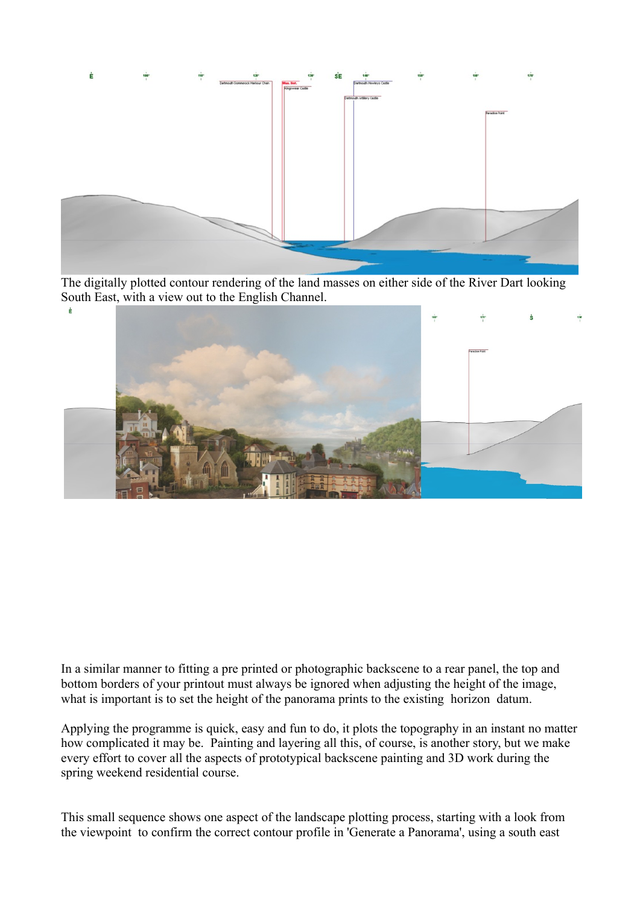

The digitally plotted contour rendering of the land masses on either side of the River Dart looking South East, with a view out to the English Channel.



In a similar manner to fitting a pre printed or photographic backscene to a rear panel, the top and bottom borders of your printout must always be ignored when adjusting the height of the image, what is important is to set the height of the panorama prints to the existing horizon datum.

Applying the programme is quick, easy and fun to do, it plots the topography in an instant no matter how complicated it may be. Painting and layering all this, of course, is another story, but we make every effort to cover all the aspects of prototypical backscene painting and 3D work during the spring weekend residential course.

This small sequence shows one aspect of the landscape plotting process, starting with a look from the viewpoint to confirm the correct contour profile in 'Generate a Panorama', using a south east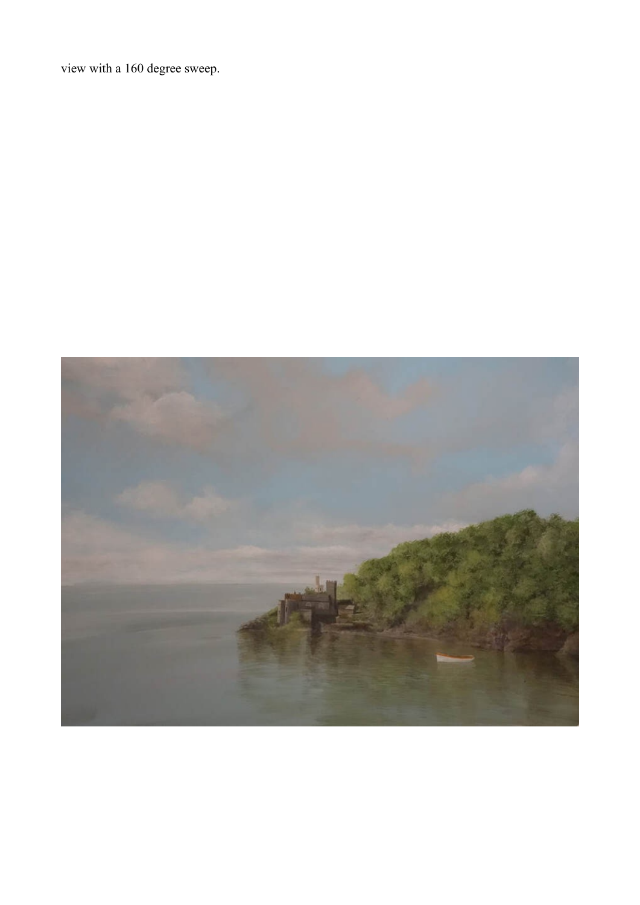view with a 160 degree sweep.